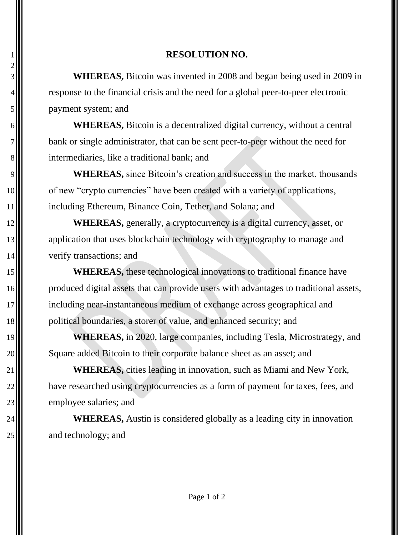## **RESOLUTION NO.**

 **WHEREAS,** Bitcoin was invented in 2008 and began being used in 2009 in 4. payment system; and

 **WHEREAS,** Bitcoin is a decentralized digital currency, without a central bank or single administrator, that can be sent peer-to-peer without the need for intermediaries, like a traditional bank; and

9.<br>**WHEREAS**, since Bitcoin's creation and success in the market, thousands 10 of new "crypto currencies" have been created with a variety of applications, **including Ethereum, Binance Coin, Tether, and Solana; and** 

12<sup>|</sup> WHEREAS, generally, a cryptocurrency is a digital currency, asset, or **application that uses blockchain technology with cryptography to manage and II** verify transactions; and

**WHEREAS**, these technological innovations to traditional finance have 16 produced digital assets that can provide users with advantages to traditional assets, including near-instantaneous medium of exchange across geographical and 18 political boundaries, a storer of value, and enhanced security; and

 **WHEREAS,** in 2020, large companies, including Tesla, Microstrategy, and 20. Square added Bitcoin to their corporate balance sheet as an asset; and

 **WHEREAS,** cities leading in innovation, such as Miami and New York, 22. have researched using cryptocurrencies as a form of payment for taxes, fees, and 23 employee salaries; and

**WHEREAS**, Austin is considered globally as a leading city in innovation **a** and technology; and